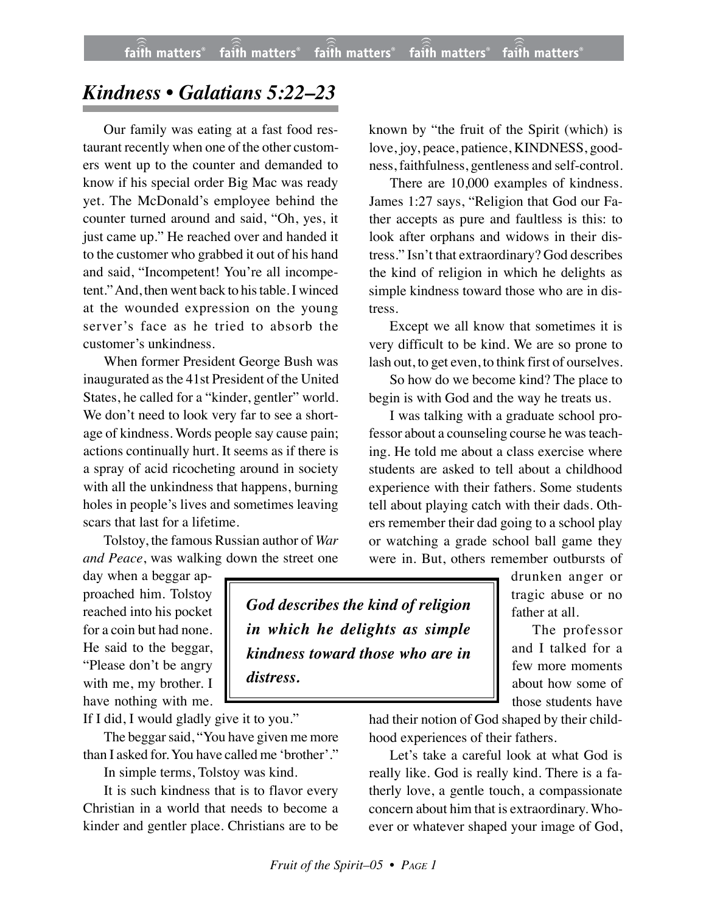## *Kindness • Galatians 5:22–23*

Our family was eating at a fast food restaurant recently when one of the other customers went up to the counter and demanded to know if his special order Big Mac was ready yet. The McDonald's employee behind the counter turned around and said, "Oh, yes, it just came up." He reached over and handed it to the customer who grabbed it out of his hand and said, "Incompetent! You're all incompetent." And, then went back to his table. I winced at the wounded expression on the young server's face as he tried to absorb the customer's unkindness.

When former President George Bush was inaugurated as the 41st President of the United States, he called for a "kinder, gentler" world. We don't need to look very far to see a shortage of kindness. Words people say cause pain; actions continually hurt. It seems as if there is a spray of acid ricocheting around in society with all the unkindness that happens, burning holes in people's lives and sometimes leaving scars that last for a lifetime.

Tolstoy, the famous Russian author of *War and Peace*, was walking down the street one

day when a beggar approached him. Tolstoy reached into his pocket for a coin but had none. He said to the beggar, "Please don't be angry with me, my brother. I have nothing with me.

If I did, I would gladly give it to you."

The beggar said, "You have given me more than I asked for. You have called me 'brother'."

In simple terms, Tolstoy was kind.

It is such kindness that is to flavor every Christian in a world that needs to become a kinder and gentler place. Christians are to be known by "the fruit of the Spirit (which) is love, joy, peace, patience, KINDNESS, goodness, faithfulness, gentleness and self-control.

There are 10,000 examples of kindness. James 1:27 says, "Religion that God our Father accepts as pure and faultless is this: to look after orphans and widows in their distress." Isn't that extraordinary? God describes the kind of religion in which he delights as simple kindness toward those who are in distress.

Except we all know that sometimes it is very difficult to be kind. We are so prone to lash out, to get even, to think first of ourselves.

So how do we become kind? The place to begin is with God and the way he treats us.

I was talking with a graduate school professor about a counseling course he was teaching. He told me about a class exercise where students are asked to tell about a childhood experience with their fathers. Some students tell about playing catch with their dads. Others remember their dad going to a school play or watching a grade school ball game they were in. But, others remember outbursts of

> drunken anger or tragic abuse or no father at all.

The professor and I talked for a few more moments about how some of those students have

*God describes the kind of religion in which he delights as simple kindness toward those who are in distress.*

> had their notion of God shaped by their childhood experiences of their fathers.

> Let's take a careful look at what God is really like. God is really kind. There is a fatherly love, a gentle touch, a compassionate concern about him that is extraordinary. Whoever or whatever shaped your image of God,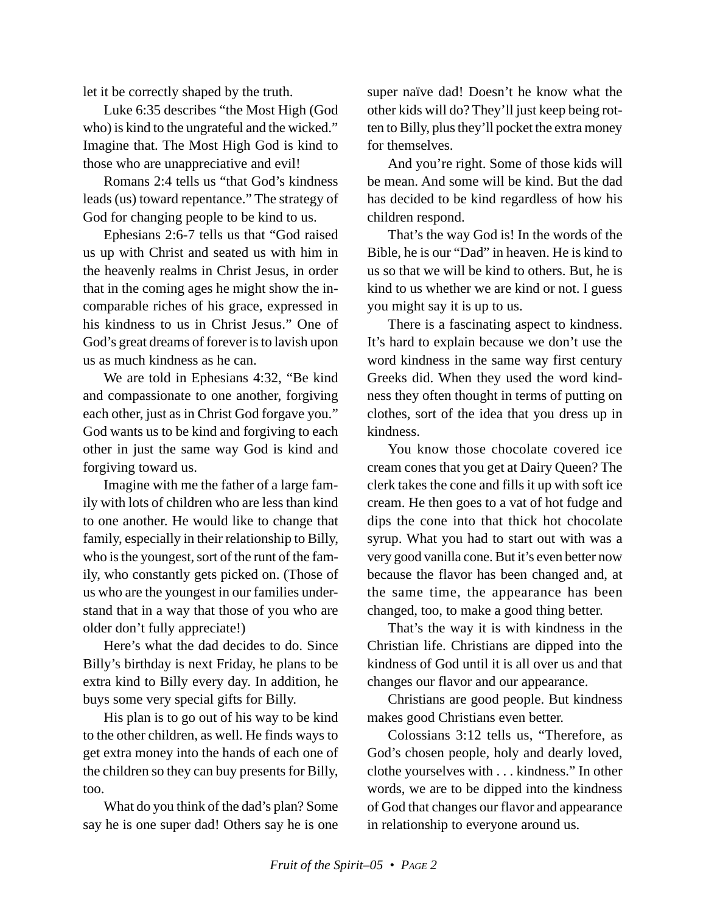let it be correctly shaped by the truth.

Luke 6:35 describes "the Most High (God who) is kind to the ungrateful and the wicked." Imagine that. The Most High God is kind to those who are unappreciative and evil!

Romans 2:4 tells us "that God's kindness leads (us) toward repentance." The strategy of God for changing people to be kind to us.

Ephesians 2:6-7 tells us that "God raised us up with Christ and seated us with him in the heavenly realms in Christ Jesus, in order that in the coming ages he might show the incomparable riches of his grace, expressed in his kindness to us in Christ Jesus." One of God's great dreams of forever is to lavish upon us as much kindness as he can.

We are told in Ephesians 4:32, "Be kind and compassionate to one another, forgiving each other, just as in Christ God forgave you." God wants us to be kind and forgiving to each other in just the same way God is kind and forgiving toward us.

Imagine with me the father of a large family with lots of children who are less than kind to one another. He would like to change that family, especially in their relationship to Billy, who is the youngest, sort of the runt of the family, who constantly gets picked on. (Those of us who are the youngest in our families understand that in a way that those of you who are older don't fully appreciate!)

Here's what the dad decides to do. Since Billy's birthday is next Friday, he plans to be extra kind to Billy every day. In addition, he buys some very special gifts for Billy.

His plan is to go out of his way to be kind to the other children, as well. He finds ways to get extra money into the hands of each one of the children so they can buy presents for Billy, too.

What do you think of the dad's plan? Some say he is one super dad! Others say he is one super naïve dad! Doesn't he know what the other kids will do? They'll just keep being rotten to Billy, plus they'll pocket the extra money for themselves.

And you're right. Some of those kids will be mean. And some will be kind. But the dad has decided to be kind regardless of how his children respond.

That's the way God is! In the words of the Bible, he is our "Dad" in heaven. He is kind to us so that we will be kind to others. But, he is kind to us whether we are kind or not. I guess you might say it is up to us.

There is a fascinating aspect to kindness. It's hard to explain because we don't use the word kindness in the same way first century Greeks did. When they used the word kindness they often thought in terms of putting on clothes, sort of the idea that you dress up in kindness.

You know those chocolate covered ice cream cones that you get at Dairy Queen? The clerk takes the cone and fills it up with soft ice cream. He then goes to a vat of hot fudge and dips the cone into that thick hot chocolate syrup. What you had to start out with was a very good vanilla cone. But it's even better now because the flavor has been changed and, at the same time, the appearance has been changed, too, to make a good thing better.

That's the way it is with kindness in the Christian life. Christians are dipped into the kindness of God until it is all over us and that changes our flavor and our appearance.

Christians are good people. But kindness makes good Christians even better.

Colossians 3:12 tells us, "Therefore, as God's chosen people, holy and dearly loved, clothe yourselves with . . . kindness." In other words, we are to be dipped into the kindness of God that changes our flavor and appearance in relationship to everyone around us.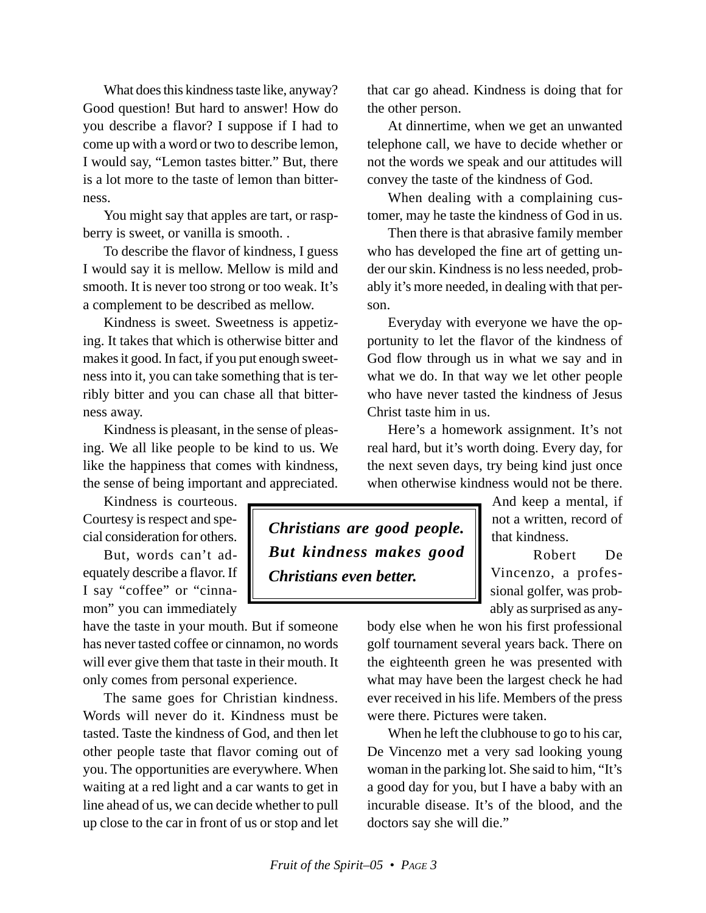What does this kindness taste like, anyway? Good question! But hard to answer! How do you describe a flavor? I suppose if I had to come up with a word or two to describe lemon, I would say, "Lemon tastes bitter." But, there is a lot more to the taste of lemon than bitterness.

You might say that apples are tart, or raspberry is sweet, or vanilla is smooth. .

To describe the flavor of kindness, I guess I would say it is mellow. Mellow is mild and smooth. It is never too strong or too weak. It's a complement to be described as mellow.

Kindness is sweet. Sweetness is appetizing. It takes that which is otherwise bitter and makes it good. In fact, if you put enough sweetness into it, you can take something that is terribly bitter and you can chase all that bitterness away.

Kindness is pleasant, in the sense of pleasing. We all like people to be kind to us. We like the happiness that comes with kindness, the sense of being important and appreciated.

Kindness is courteous. Courtesy is respect and special consideration for others.

But, words can't adequately describe a flavor. If I say "coffee" or "cinnamon" you can immediately

have the taste in your mouth. But if someone has never tasted coffee or cinnamon, no words will ever give them that taste in their mouth. It only comes from personal experience.

The same goes for Christian kindness. Words will never do it. Kindness must be tasted. Taste the kindness of God, and then let other people taste that flavor coming out of you. The opportunities are everywhere. When waiting at a red light and a car wants to get in line ahead of us, we can decide whether to pull up close to the car in front of us or stop and let

that car go ahead. Kindness is doing that for the other person.

At dinnertime, when we get an unwanted telephone call, we have to decide whether or not the words we speak and our attitudes will convey the taste of the kindness of God.

When dealing with a complaining customer, may he taste the kindness of God in us.

Then there is that abrasive family member who has developed the fine art of getting under our skin. Kindness is no less needed, probably it's more needed, in dealing with that person.

Everyday with everyone we have the opportunity to let the flavor of the kindness of God flow through us in what we say and in what we do. In that way we let other people who have never tasted the kindness of Jesus Christ taste him in us.

Here's a homework assignment. It's not real hard, but it's worth doing. Every day, for the next seven days, try being kind just once when otherwise kindness would not be there.

*Christians are good people. But kindness makes good Christians even better.*

And keep a mental, if not a written, record of that kindness.

Robert De Vincenzo, a professional golfer, was probably as surprised as any-

body else when he won his first professional golf tournament several years back. There on the eighteenth green he was presented with what may have been the largest check he had ever received in his life. Members of the press were there. Pictures were taken.

When he left the clubhouse to go to his car, De Vincenzo met a very sad looking young woman in the parking lot. She said to him, "It's a good day for you, but I have a baby with an incurable disease. It's of the blood, and the doctors say she will die."